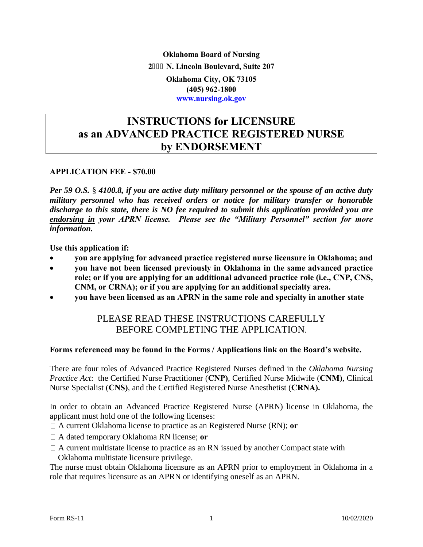**Oklahoma Board of Nursing 2 N. Lincoln Boulevard, Suite 207 Oklahoma City, OK 73105 (405) 962-1800 www.nursing.ok.gov** 

### **INSTRUCTIONS for LICENSURE as an ADVANCED PRACTICE REGISTERED NURSE by ENDORSEMENT**

#### **APPLICATION FEE - \$70.00**

*Per 59 O.S.* § *4100.8, if you are active duty military personnel or the spouse of an active duty military personnel who has received orders or notice for military transfer or honorable discharge to this state, there is NO fee required to submit this application provided you are endorsing in your APRN license. Please see the "Military Personnel" section for more information.* 

**Use this application if:**

- **you are applying for advanced practice registered nurse licensure in Oklahoma; and**
- **you have not been licensed previously in Oklahoma in the same advanced practice role; or if you are applying for an additional advanced practice role (i.e., CNP, CNS, CNM, or CRNA); or if you are applying for an additional specialty area.**
- **you have been licensed as an APRN in the same role and specialty in another state**

### PLEASE READ THESE INSTRUCTIONS CAREFULLY BEFORE COMPLETING THE APPLICATION.

#### **Forms referenced may be found in the Forms / Applications link on the Board's website.**

There are four roles of Advanced Practice Registered Nurses defined in the *Oklahoma Nursing Practice Act*: the Certified Nurse Practitioner (**CNP)**, Certified Nurse Midwife (**CNM)**, Clinical Nurse Specialist (**CNS)**, and the Certified Registered Nurse Anesthetist (**CRNA).** 

In order to obtain an Advanced Practice Registered Nurse (APRN) license in Oklahoma, the applicant must hold one of the following licenses:

A current Oklahoma license to practice as an Registered Nurse (RN); **or** 

- A dated temporary Oklahoma RN license; **or**
- $\Box$  A current multistate license to practice as an RN issued by another Compact state with Oklahoma multistate licensure privilege.

The nurse must obtain Oklahoma licensure as an APRN prior to employment in Oklahoma in a role that requires licensure as an APRN or identifying oneself as an APRN.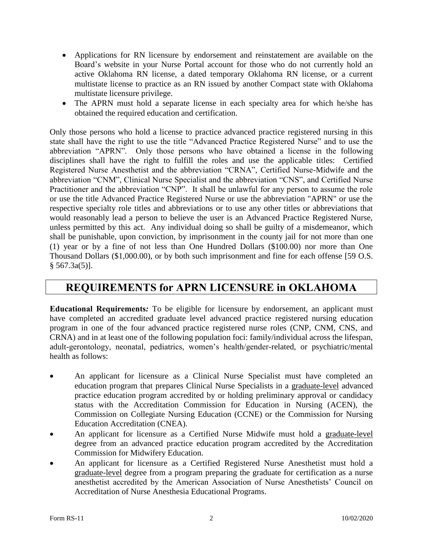- Applications for RN licensure by endorsement and reinstatement are available on the Board's website in your Nurse Portal account for those who do not currently hold an active Oklahoma RN license, a dated temporary Oklahoma RN license, or a current multistate license to practice as an RN issued by another Compact state with Oklahoma multistate licensure privilege.
- The APRN must hold a separate license in each specialty area for which he/she has obtained the required education and certification.

Only those persons who hold a license to practice advanced practice registered nursing in this state shall have the right to use the title "Advanced Practice Registered Nurse" and to use the abbreviation "APRN". Only those persons who have obtained a license in the following disciplines shall have the right to fulfill the roles and use the applicable titles: Certified Registered Nurse Anesthetist and the abbreviation "CRNA", Certified Nurse-Midwife and the abbreviation "CNM", Clinical Nurse Specialist and the abbreviation "CNS", and Certified Nurse Practitioner and the abbreviation "CNP". It shall be unlawful for any person to assume the role or use the title Advanced Practice Registered Nurse or use the abbreviation "APRN" or use the respective specialty role titles and abbreviations or to use any other titles or abbreviations that would reasonably lead a person to believe the user is an Advanced Practice Registered Nurse, unless permitted by this act. Any individual doing so shall be guilty of a misdemeanor, which shall be punishable, upon conviction, by imprisonment in the county jail for not more than one (1) year or by a fine of not less than One Hundred Dollars (\$100.00) nor more than One Thousand Dollars (\$1,000.00), or by both such imprisonment and fine for each offense [59 O.S.  $§ 567.3a(5)$ .

### **REQUIREMENTS for APRN LICENSURE in OKLAHOMA**

**Educational Requirements***:* To be eligible for licensure by endorsement, an applicant must have completed an accredited graduate level advanced practice registered nursing education program in one of the four advanced practice registered nurse roles (CNP, CNM, CNS, and CRNA) and in at least one of the following population foci: family/individual across the lifespan, adult-gerontology, neonatal, pediatrics, women's health/gender-related, or psychiatric/mental health as follows:

- An applicant for licensure as a Clinical Nurse Specialist must have completed an education program that prepares Clinical Nurse Specialists in a graduate-level advanced practice education program accredited by or holding preliminary approval or candidacy status with the Accreditation Commission for Education in Nursing (ACEN), the Commission on Collegiate Nursing Education (CCNE) or the Commission for Nursing Education Accreditation (CNEA).
- An applicant for licensure as a Certified Nurse Midwife must hold a graduate-level degree from an advanced practice education program accredited by the Accreditation Commission for Midwifery Education.
- An applicant for licensure as a Certified Registered Nurse Anesthetist must hold a graduate-level degree from a program preparing the graduate for certification as a nurse anesthetist accredited by the American Association of Nurse Anesthetists' Council on Accreditation of Nurse Anesthesia Educational Programs.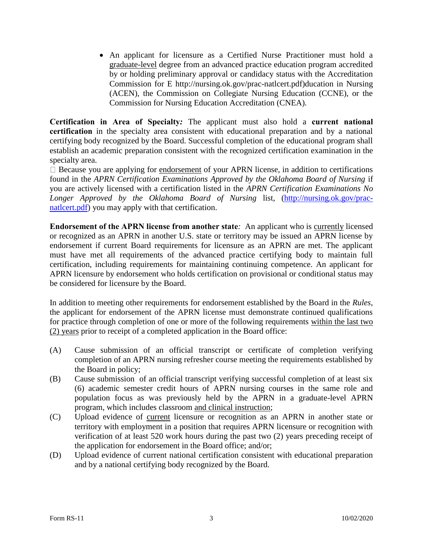An applicant for licensure as a Certified Nurse Practitioner must hold a graduate-level degree from an advanced practice education program accredited by or holding preliminary approval or candidacy status with the Accreditation Commission for E http://nursing.ok.gov/prac-natlcert.pdf)ducation in Nursing (ACEN), the Commission on Collegiate Nursing Education (CCNE), or the Commission for Nursing Education Accreditation (CNEA).

**Certification in Area of Specialty***:* The applicant must also hold a **current national certification** in the specialty area consistent with educational preparation and by a national certifying body recognized by the Board. Successful completion of the educational program shall establish an academic preparation consistent with the recognized certification examination in the specialty area.

 $\Box$  Because you are applying for endorsement of your APRN license, in addition to certifications found in the *APRN Certification Examinations Approved by the Oklahoma Board of Nursing* if you are actively licensed with a certification listed in the *APRN Certification Examinations No Longer Approved by the Oklahoma Board of Nursing* list, [\(http://nursing.ok.gov/prac](http://nursing.ok.gov/prac-natlcert.pdf)[natlcert.pdf\)](http://nursing.ok.gov/prac-natlcert.pdf) you may apply with that certification.

**Endorsement of the APRN license from another state***:* An applicant who is currently licensed or recognized as an APRN in another U.S. state or territory may be issued an APRN license by endorsement if current Board requirements for licensure as an APRN are met. The applicant must have met all requirements of the advanced practice certifying body to maintain full certification, including requirements for maintaining continuing competence. An applicant for APRN licensure by endorsement who holds certification on provisional or conditional status may be considered for licensure by the Board.

In addition to meeting other requirements for endorsement established by the Board in the *Rules*, the applicant for endorsement of the APRN license must demonstrate continued qualifications for practice through completion of one or more of the following requirements within the last two (2) years prior to receipt of a completed application in the Board office:

- (A) Cause submission of an official transcript or certificate of completion verifying completion of an APRN nursing refresher course meeting the requirements established by the Board in policy;
- (B) Cause submission of an official transcript verifying successful completion of at least six (6) academic semester credit hours of APRN nursing courses in the same role and population focus as was previously held by the APRN in a graduate-level APRN program, which includes classroom and clinical instruction;
- (C) Upload evidence of current licensure or recognition as an APRN in another state or territory with employment in a position that requires APRN licensure or recognition with verification of at least 520 work hours during the past two (2) years preceding receipt of the application for endorsement in the Board office; and/or;
- (D) Upload evidence of current national certification consistent with educational preparation and by a national certifying body recognized by the Board.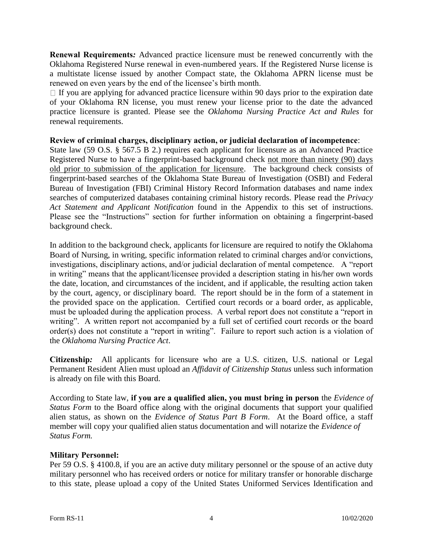**Renewal Requirements***:* Advanced practice licensure must be renewed concurrently with the Oklahoma Registered Nurse renewal in even-numbered years. If the Registered Nurse license is a multistate license issued by another Compact state, the Oklahoma APRN license must be renewed on even years by the end of the licensee's birth month.

 $\Box$  If you are applying for advanced practice licensure within 90 days prior to the expiration date of your Oklahoma RN license, you must renew your license prior to the date the advanced practice licensure is granted. Please see the *Oklahoma Nursing Practice Act and Rules* for renewal requirements.

#### **Review of criminal charges, disciplinary action, or judicial declaration of incompetence**:

State law (59 O.S. § 567.5 B 2.) requires each applicant for licensure as an Advanced Practice Registered Nurse to have a fingerprint-based background check not more than ninety (90) days old prior to submission of the application for licensure. The background check consists of fingerprint-based searches of the Oklahoma State Bureau of Investigation (OSBI) and Federal Bureau of Investigation (FBI) Criminal History Record Information databases and name index searches of computerized databases containing criminal history records. Please read the *Privacy Act Statement and Applicant Notification* found in the Appendix to this set of instructions. Please see the "Instructions" section for further information on obtaining a fingerprint-based background check.

In addition to the background check, applicants for licensure are required to notify the Oklahoma Board of Nursing, in writing, specific information related to criminal charges and/or convictions, investigations, disciplinary actions, and/or judicial declaration of mental competence. A "report in writing" means that the applicant/licensee provided a description stating in his/her own words the date, location, and circumstances of the incident, and if applicable, the resulting action taken by the court, agency, or disciplinary board. The report should be in the form of a statement in the provided space on the application. Certified court records or a board order, as applicable, must be uploaded during the application process. A verbal report does not constitute a "report in writing". A written report not accompanied by a full set of certified court records or the board order(s) does not constitute a "report in writing". Failure to report such action is a violation of the *Oklahoma Nursing Practice Act*.

**Citizenship***:* All applicants for licensure who are a U.S. citizen, U.S. national or Legal Permanent Resident Alien must upload an *Affidavit of Citizenship Status* unless such information is already on file with this Board.

According to State law, **if you are a qualified alien, you must bring in person** the *Evidence of Status Form* to the Board office along with the original documents that support your qualified alien status, as shown on the *Evidence of Status Part B Form*. At the Board office, a staff member will copy your qualified alien status documentation and will notarize the *Evidence of Status Form.*

#### **Military Personnel:**

Per 59 O.S. § 4100.8, if you are an active duty military personnel or the spouse of an active duty military personnel who has received orders or notice for military transfer or honorable discharge to this state, please upload a copy of the United States Uniformed Services Identification and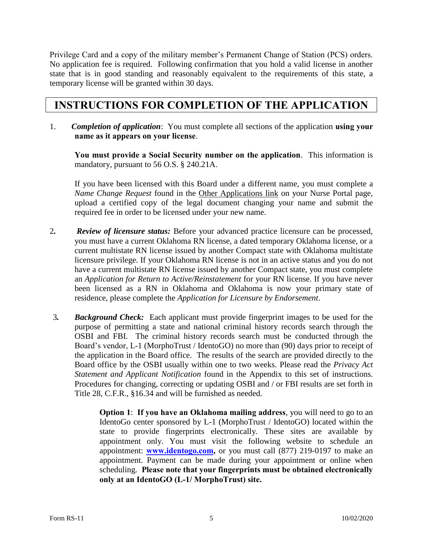Privilege Card and a copy of the military member's Permanent Change of Station (PCS) orders. No application fee is required. Following confirmation that you hold a valid license in another state that is in good standing and reasonably equivalent to the requirements of this state, a temporary license will be granted within 30 days.

## **INSTRUCTIONS FOR COMPLETION OF THE APPLICATION**

1. *Completion of application*: You must complete all sections of the application **using your name as it appears on your license**.

**You must provide a Social Security number on the application**. This information is mandatory, pursuant to 56 O.S. § 240.21A.

If you have been licensed with this Board under a different name, you must complete a *Name Change Request* found in the Other Applications link on your Nurse Portal page, upload a certified copy of the legal document changing your name and submit the required fee in order to be licensed under your new name.

- 2*. Review of licensure status:* Before your advanced practice licensure can be processed, you must have a current Oklahoma RN license, a dated temporary Oklahoma license, or a current multistate RN license issued by another Compact state with Oklahoma multistate licensure privilege. If your Oklahoma RN license is not in an active status and you do not have a current multistate RN license issued by another Compact state, you must complete an *Application for Return to Active/Reinstatement* for your RN license. If you have never been licensed as a RN in Oklahoma and Oklahoma is now your primary state of residence, please complete the *Application for Licensure by Endorsement*.
- 3*. Background Check:* Each applicant must provide fingerprint images to be used for the purpose of permitting a state and national criminal history records search through the OSBI and FBI. The criminal history records search must be conducted through the Board's vendor, L-1 (MorphoTrust / IdentoGO) no more than (90) days prior to receipt of the application in the Board office. The results of the search are provided directly to the Board office by the OSBI usually within one to two weeks. Please read the *Privacy Act Statement and Applicant Notification* found in the Appendix to this set of instructions. Procedures for changing, correcting or updating OSBI and / or FBI results are set forth in Title 28, C.F.R., §16.34 and will be furnished as needed.

**Option 1**: **If you have an Oklahoma mailing address**, you will need to go to an IdentoGo center sponsored by L-1 (MorphoTrust / IdentoGO) located within the state to provide fingerprints electronically. These sites are available by appointment only. You must visit the following website to schedule an appointment: **[www.identogo.com,](http://www.identogo.com/)** or you must call (877) 219-0197 to make an appointment. Payment can be made during your appointment or online when scheduling. **Please note that your fingerprints must be obtained electronically only at an IdentoGO (L-1/ MorphoTrust) site.**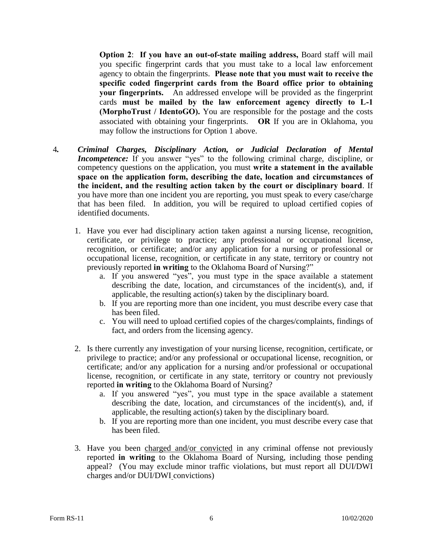**Option 2**: **If you have an out-of-state mailing address,** Board staff will mail you specific fingerprint cards that you must take to a local law enforcement agency to obtain the fingerprints. **Please note that you must wait to receive the specific coded fingerprint cards from the Board office prior to obtaining your fingerprints.** An addressed envelope will be provided as the fingerprint cards **must be mailed by the law enforcement agency directly to L-1 (MorphoTrust / IdentoGO).** You are responsible for the postage and the costs associated with obtaining your fingerprints. **OR** If you are in Oklahoma, you may follow the instructions for Option 1 above.

- 4*. Criminal Charges, Disciplinary Action, or Judicial Declaration of Mental Incompetence:* If you answer "yes" to the following criminal charge, discipline, or competency questions on the application, you must **write a statement in the available space on the application form, describing the date, location and circumstances of the incident, and the resulting action taken by the court or disciplinary board**. If you have more than one incident you are reporting, you must speak to every case/charge that has been filed. In addition, you will be required to upload certified copies of identified documents.
	- 1. Have you ever had disciplinary action taken against a nursing license, recognition, certificate, or privilege to practice; any professional or occupational license, recognition, or certificate; and/or any application for a nursing or professional or occupational license, recognition, or certificate in any state, territory or country not previously reported **in writing** to the Oklahoma Board of Nursing?"
		- a. If you answered "yes", you must type in the space available a statement describing the date, location, and circumstances of the incident(s), and, if applicable, the resulting action(s) taken by the disciplinary board.
		- b. If you are reporting more than one incident, you must describe every case that has been filed.
		- c. You will need to upload certified copies of the charges/complaints, findings of fact, and orders from the licensing agency.
	- 2. Is there currently any investigation of your nursing license, recognition, certificate, or privilege to practice; and/or any professional or occupational license, recognition, or certificate; and/or any application for a nursing and/or professional or occupational license, recognition, or certificate in any state, territory or country not previously reported **in writing** to the Oklahoma Board of Nursing?
		- a. If you answered "yes", you must type in the space available a statement describing the date, location, and circumstances of the incident(s), and, if applicable, the resulting action(s) taken by the disciplinary board.
		- b. If you are reporting more than one incident, you must describe every case that has been filed.
	- 3. Have you been charged and/or convicted in any criminal offense not previously reported **in writing** to the Oklahoma Board of Nursing, including those pending appeal? (You may exclude minor traffic violations, but must report all DUI/DWI charges and/or DUI/DWI convictions)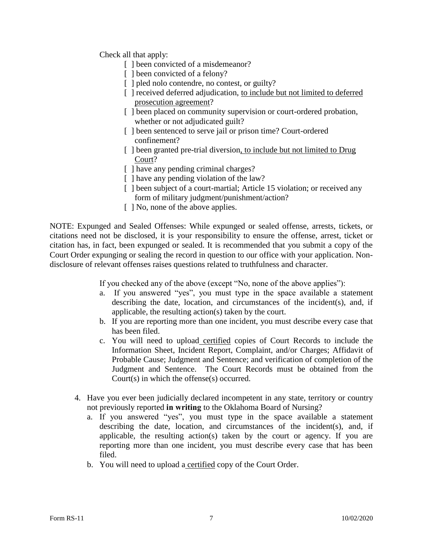Check all that apply:

- [ ] been convicted of a misdemeanor?
- [ ] been convicted of a felony?
- [ ] pled nolo contendre, no contest, or guilty?
- [ ] received deferred adjudication, to include but not limited to deferred prosecution agreement?
- [] been placed on community supervision or court-ordered probation, whether or not adjudicated guilt?
- [ ] been sentenced to serve jail or prison time? Court-ordered confinement?
- [ ] been granted pre-trial diversion, to include but not limited to Drug Court?
- [ ] have any pending criminal charges?
- [ ] have any pending violation of the law?
- [] been subject of a court-martial; Article 15 violation; or received any form of military judgment/punishment/action?
- [  $\vert$  No, none of the above applies.

NOTE: Expunged and Sealed Offenses: While expunged or sealed offense, arrests, tickets, or citations need not be disclosed, it is your responsibility to ensure the offense, arrest, ticket or citation has, in fact, been expunged or sealed. It is recommended that you submit a copy of the Court Order expunging or sealing the record in question to our office with your application. Nondisclosure of relevant offenses raises questions related to truthfulness and character.

If you checked any of the above (except "No, none of the above applies"):

- a. If you answered "yes", you must type in the space available a statement describing the date, location, and circumstances of the incident(s), and, if applicable, the resulting action(s) taken by the court.
- b. If you are reporting more than one incident, you must describe every case that has been filed.
- c. You will need to upload certified copies of Court Records to include the Information Sheet, Incident Report, Complaint, and/or Charges; Affidavit of Probable Cause; Judgment and Sentence; and verification of completion of the Judgment and Sentence. The Court Records must be obtained from the Court(s) in which the offense(s) occurred.
- 4. Have you ever been judicially declared incompetent in any state, territory or country not previously reported **in writing** to the Oklahoma Board of Nursing?
	- a. If you answered "yes", you must type in the space available a statement describing the date, location, and circumstances of the incident(s), and, if applicable, the resulting action(s) taken by the court or agency. If you are reporting more than one incident, you must describe every case that has been filed.
	- b. You will need to upload a certified copy of the Court Order.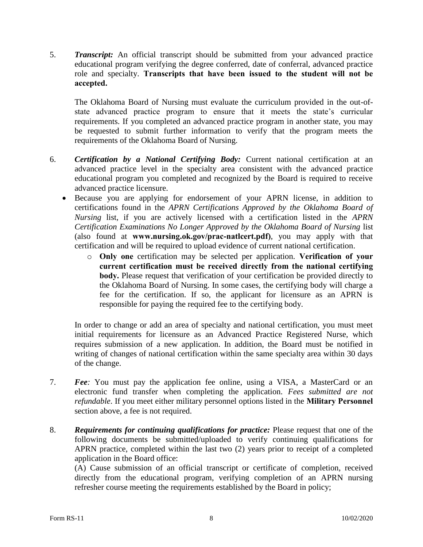5. *Transcript:* An official transcript should be submitted from your advanced practice educational program verifying the degree conferred, date of conferral, advanced practice role and specialty. **Transcripts that have been issued to the student will not be accepted.** 

The Oklahoma Board of Nursing must evaluate the curriculum provided in the out-ofstate advanced practice program to ensure that it meets the state's curricular requirements. If you completed an advanced practice program in another state, you may be requested to submit further information to verify that the program meets the requirements of the Oklahoma Board of Nursing.

- 6. *Certification by a National Certifying Body:* Current national certification at an advanced practice level in the specialty area consistent with the advanced practice educational program you completed and recognized by the Board is required to receive advanced practice licensure.
	- Because you are applying for endorsement of your APRN license, in addition to certifications found in the *APRN Certifications Approved by the Oklahoma Board of Nursing* list, if you are actively licensed with a certification listed in the *APRN Certification Examinations No Longer Approved by the Oklahoma Board of Nursing list* (also found at **www.nursing.ok.gov/prac-natlcert.pdf)**, you may apply with that certification and will be required to upload evidence of current national certification.
		- o **Only one** certification may be selected per application. **Verification of your current certification must be received directly from the national certifying body.** Please request that verification of your certification be provided directly to the Oklahoma Board of Nursing. In some cases, the certifying body will charge a fee for the certification. If so, the applicant for licensure as an APRN is responsible for paying the required fee to the certifying body.

In order to change or add an area of specialty and national certification, you must meet initial requirements for licensure as an Advanced Practice Registered Nurse, which requires submission of a new application. In addition, the Board must be notified in writing of changes of national certification within the same specialty area within 30 days of the change.

- 7. *Fee:* You must pay the application fee online, using a VISA, a MasterCard or an electronic fund transfer when completing the application. *Fees submitted are not refundable*. If you meet either military personnel options listed in the **Military Personnel** section above, a fee is not required.
- 8. *Requirements for continuing qualifications for practice:* Please request that one of the following documents be submitted/uploaded to verify continuing qualifications for APRN practice, completed within the last two (2) years prior to receipt of a completed application in the Board office:

(A) Cause submission of an official transcript or certificate of completion, received directly from the educational program, verifying completion of an APRN nursing refresher course meeting the requirements established by the Board in policy;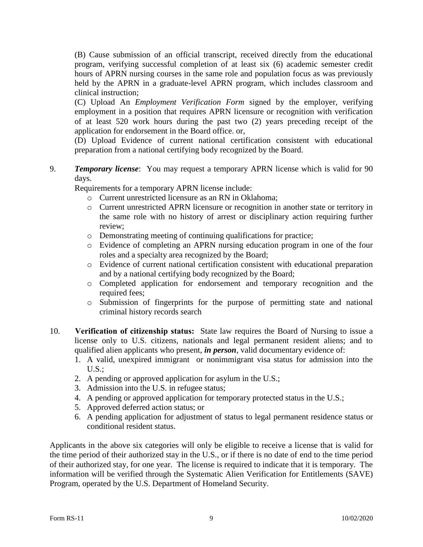(B) Cause submission of an official transcript, received directly from the educational program, verifying successful completion of at least six (6) academic semester credit hours of APRN nursing courses in the same role and population focus as was previously held by the APRN in a graduate-level APRN program, which includes classroom and clinical instruction;

(C) Upload An *Employment Verification Form* signed by the employer, verifying employment in a position that requires APRN licensure or recognition with verification of at least 520 work hours during the past two (2) years preceding receipt of the application for endorsement in the Board office. or,

(D) Upload Evidence of current national certification consistent with educational preparation from a national certifying body recognized by the Board.

9. *Temporary license*: You may request a temporary APRN license which is valid for 90 days.

Requirements for a temporary APRN license include:

- o Current unrestricted licensure as an RN in Oklahoma;
- o Current unrestricted APRN licensure or recognition in another state or territory in the same role with no history of arrest or disciplinary action requiring further review;
- o Demonstrating meeting of continuing qualifications for practice;
- o Evidence of completing an APRN nursing education program in one of the four roles and a specialty area recognized by the Board;
- o Evidence of current national certification consistent with educational preparation and by a national certifying body recognized by the Board;
- o Completed application for endorsement and temporary recognition and the required fees;
- o Submission of fingerprints for the purpose of permitting state and national criminal history records search
- 10. **Verification of citizenship status:** State law requires the Board of Nursing to issue a license only to U.S. citizens, nationals and legal permanent resident aliens; and to qualified alien applicants who present, *in person*, valid documentary evidence of:
	- 1. A valid, unexpired immigrant or nonimmigrant visa status for admission into the  $U.S.$ :
	- 2. A pending or approved application for asylum in the U.S.;
	- 3. Admission into the U.S. in refugee status;
	- 4. A pending or approved application for temporary protected status in the U.S.;
	- 5. Approved deferred action status; or
	- 6. A pending application for adjustment of status to legal permanent residence status or conditional resident status.

Applicants in the above six categories will only be eligible to receive a license that is valid for the time period of their authorized stay in the U.S., or if there is no date of end to the time period of their authorized stay, for one year. The license is required to indicate that it is temporary. The information will be verified through the Systematic Alien Verification for Entitlements (SAVE) Program, operated by the U.S. Department of Homeland Security.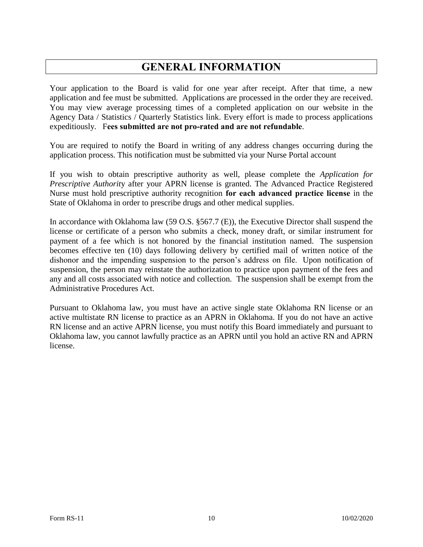# **GENERAL INFORMATION**

Your application to the Board is valid for one year after receipt. After that time, a new application and fee must be submitted. Applications are processed in the order they are received. You may view average processing times of a completed application on our website in the Agency Data / Statistics / Quarterly Statistics link. Every effort is made to process applications expeditiously. F**ees submitted are not pro-rated and are not refundable**.

You are required to notify the Board in writing of any address changes occurring during the application process. This notification must be submitted via your Nurse Portal account

If you wish to obtain prescriptive authority as well, please complete the *Application for Prescriptive Authorit*y after your APRN license is granted. The Advanced Practice Registered Nurse must hold prescriptive authority recognition **for each advanced practice license** in the State of Oklahoma in order to prescribe drugs and other medical supplies.

In accordance with Oklahoma law (59 O.S. §567.7 (E)), the Executive Director shall suspend the license or certificate of a person who submits a check, money draft, or similar instrument for payment of a fee which is not honored by the financial institution named. The suspension becomes effective ten (10) days following delivery by certified mail of written notice of the dishonor and the impending suspension to the person's address on file. Upon notification of suspension, the person may reinstate the authorization to practice upon payment of the fees and any and all costs associated with notice and collection. The suspension shall be exempt from the Administrative Procedures Act.

Pursuant to Oklahoma law, you must have an active single state Oklahoma RN license or an active multistate RN license to practice as an APRN in Oklahoma. If you do not have an active RN license and an active APRN license, you must notify this Board immediately and pursuant to Oklahoma law, you cannot lawfully practice as an APRN until you hold an active RN and APRN license.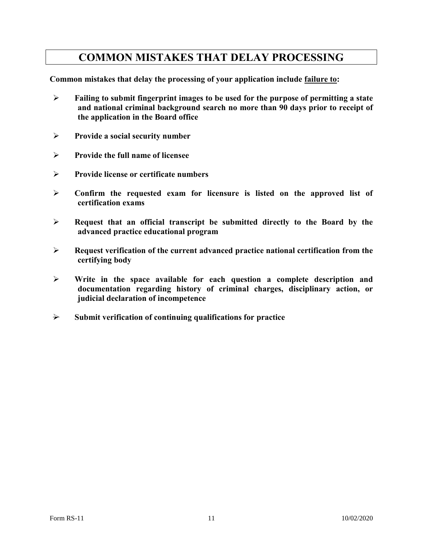### **COMMON MISTAKES THAT DELAY PROCESSING**

**Common mistakes that delay the processing of your application include failure to:**

- **Failing to submit fingerprint images to be used for the purpose of permitting a state and national criminal background search no more than 90 days prior to receipt of the application in the Board office**
- **Provide a social security number**
- **Provide the full name of licensee**
- **Provide license or certificate numbers**
- **Confirm the requested exam for licensure is listed on the approved list of certification exams**
- **Request that an official transcript be submitted directly to the Board by the advanced practice educational program**
- **Request verification of the current advanced practice national certification from the certifying body**
- **Write in the space available for each question a complete description and documentation regarding history of criminal charges, disciplinary action, or judicial declaration of incompetence**
- $\rightarrow$  Submit verification of continuing qualifications for practice